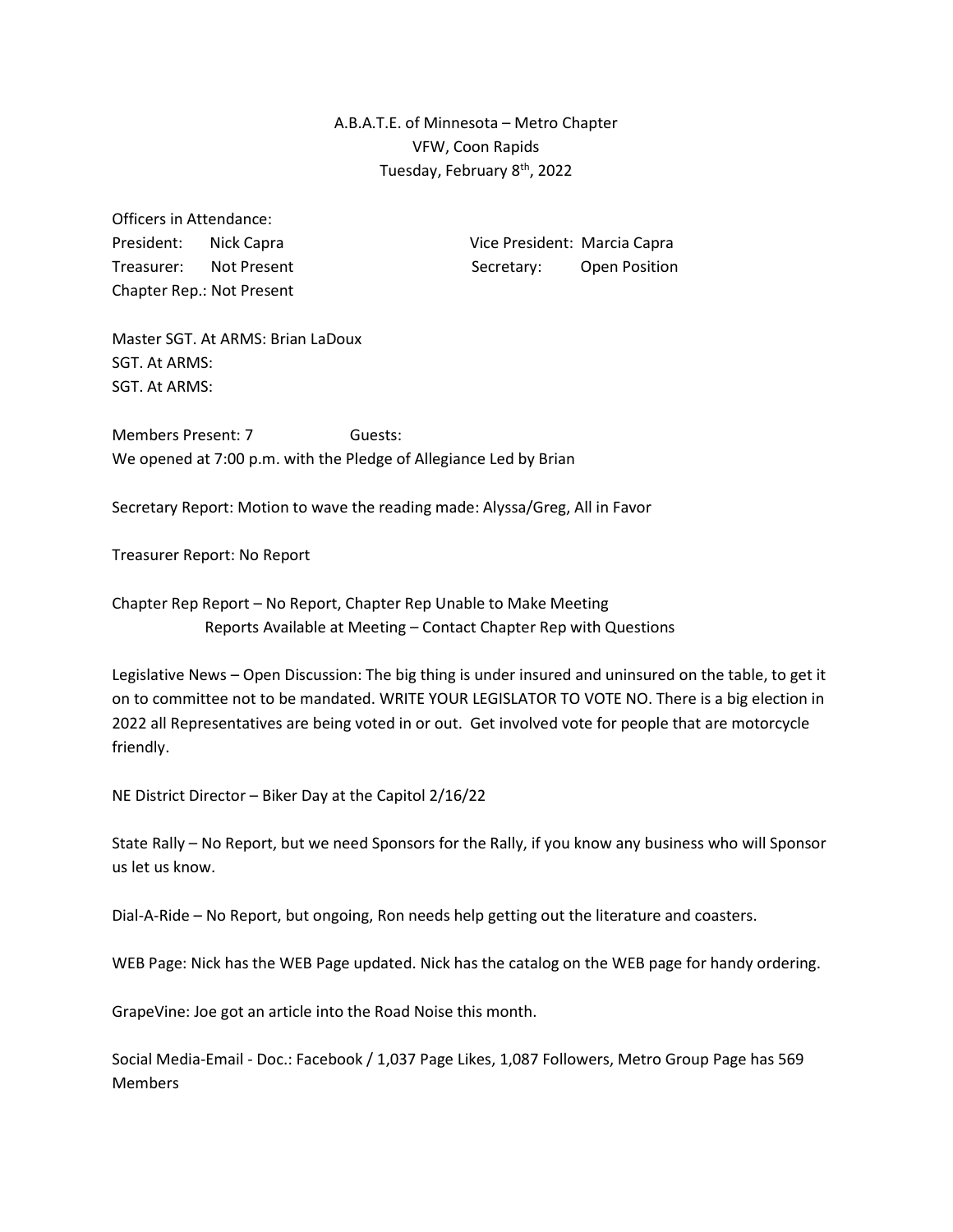A.B.A.T.E. of Minnesota – Metro Chapter VFW, Coon Rapids Tuesday, February 8<sup>th</sup>, 2022

Officers in Attendance: Chapter Rep.: Not Present

President: Nick Capra Vice President: Marcia Capra Treasurer: Not Present Secretary: Open Position

Master SGT. At ARMS: Brian LaDoux SGT. At ARMS: SGT. At ARMS:

Members Present: 7 Guests: We opened at 7:00 p.m. with the Pledge of Allegiance Led by Brian

Secretary Report: Motion to wave the reading made: Alyssa/Greg, All in Favor

Treasurer Report: No Report

Chapter Rep Report – No Report, Chapter Rep Unable to Make Meeting Reports Available at Meeting – Contact Chapter Rep with Questions

Legislative News – Open Discussion: The big thing is under insured and uninsured on the table, to get it on to committee not to be mandated. WRITE YOUR LEGISLATOR TO VOTE NO. There is a big election in 2022 all Representatives are being voted in or out. Get involved vote for people that are motorcycle friendly.

NE District Director – Biker Day at the Capitol 2/16/22

State Rally – No Report, but we need Sponsors for the Rally, if you know any business who will Sponsor us let us know.

Dial-A-Ride – No Report, but ongoing, Ron needs help getting out the literature and coasters.

WEB Page: Nick has the WEB Page updated. Nick has the catalog on the WEB page for handy ordering.

GrapeVine: Joe got an article into the Road Noise this month.

Social Media-Email - Doc.: Facebook / 1,037 Page Likes, 1,087 Followers, Metro Group Page has 569 Members